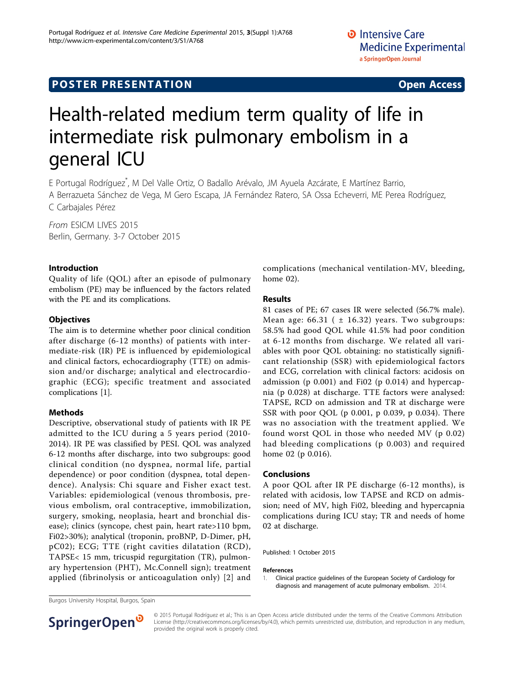# **POSTER PRESENTATION CONSUMING THE SERVICE SERVICE SERVICES**

# Health-related medium term quality of life in intermediate risk pulmonary embolism in a general ICU

E Portugal Rodríguez\* , M Del Valle Ortiz, O Badallo Arévalo, JM Ayuela Azcárate, E Martínez Barrio, A Berrazueta Sánchez de Vega, M Gero Escapa, JA Fernández Ratero, SA Ossa Echeverri, ME Perea Rodríguez, C Carbajales Pérez

From ESICM LIVES 2015 Berlin, Germany. 3-7 October 2015

#### Introduction

Quality of life (QOL) after an episode of pulmonary embolism (PE) may be influenced by the factors related with the PE and its complications.

#### **Objectives**

The aim is to determine whether poor clinical condition after discharge (6-12 months) of patients with intermediate-risk (IR) PE is influenced by epidemiological and clinical factors, echocardiography (TTE) on admission and/or discharge; analytical and electrocardiographic (ECG); specific treatment and associated complications [1].

### Methods

Descriptive, observational study of patients with IR PE admitted to the ICU during a 5 years period (2010- 2014). IR PE was classified by PESI. QOL was analyzed 6-12 months after discharge, into two subgroups: good clinical condition (no dyspnea, normal life, partial dependence) or poor condition (dyspnea, total dependence). Analysis: Chi square and Fisher exact test. Variables: epidemiological (venous thrombosis, previous embolism, oral contraceptive, immobilization, surgery, smoking, neoplasia, heart and bronchial disease); clinics (syncope, chest pain, heart rate>110 bpm, Fi02>30%); analytical (troponin, proBNP, D-Dimer, pH, pC02); ECG; TTE (right cavities dilatation (RCD), TAPSE< 15 mm, tricuspid regurgitation (TR), pulmonary hypertension (PHT), Mc.Connell sign); treatment applied (fibrinolysis or anticoagulation only) [\[2\]](#page-1-0) and complications (mechanical ventilation-MV, bleeding, home 02).

#### Results

81 cases of PE; 67 cases IR were selected (56.7% male). Mean age:  $66.31$  (  $\pm$  16.32) years. Two subgroups: 58.5% had good QOL while 41.5% had poor condition at 6-12 months from discharge. We related all variables with poor QOL obtaining: no statistically significant relationship (SSR) with epidemiological factors and ECG, correlation with clinical factors: acidosis on admission (p 0.001) and Fi02 (p 0.014) and hypercapnia (p 0.028) at discharge. TTE factors were analysed: TAPSE, RCD on admission and TR at discharge were SSR with poor QOL (p 0.001, p 0.039, p 0.034). There was no association with the treatment applied. We found worst QOL in those who needed MV (p 0.02) had bleeding complications (p 0.003) and required home 02 (p 0.016).

#### Conclusions

A poor QOL after IR PE discharge (6-12 months), is related with acidosis, low TAPSE and RCD on admission; need of MV, high Fi02, bleeding and hypercapnia complications during ICU stay; TR and needs of home 02 at discharge.

Published: 1 October 2015

#### References

1. Clinical practice guidelines of the European Society of Cardiology for diagnosis and management of acute pulmonary embolism. 2014.

Burgos University Hospital, Burgos, Spain



© 2015 Portugal Rodríguez et al.; This is an Open Access article distributed under the terms of the Creative Commons Attribution License [\(http://creativecommons.org/licenses/by/4.0](http://creativecommons.org/licenses/by/4.0)), which permits unrestricted use, distribution, and reproduction in any medium, provided the original work is properly cited.